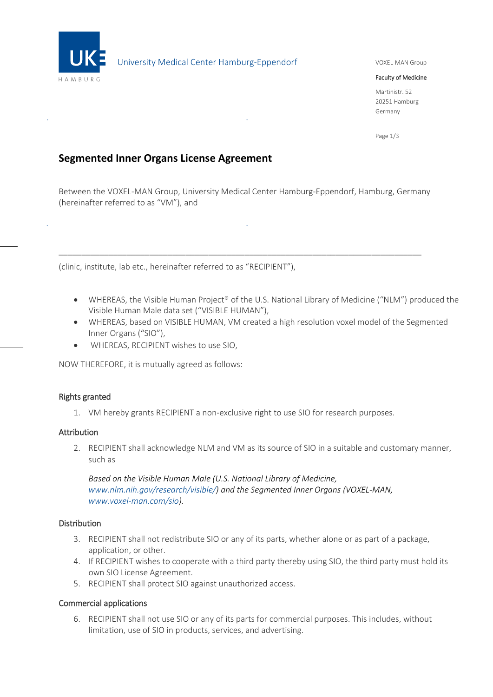

# University Medical Center Hamburg-Eppendorf

### VOXEL-MAN Group

#### Faculty of Medicine

Martinistr. 52 20251 Hamburg Germany

Page 1/3

# **Segmented Inner Organs License Agreement**

Between the VOXEL-MAN Group, University Medical Center Hamburg-Eppendorf, Hamburg, Germany (hereinafter referred to as "VM"), and

\_\_\_\_\_\_\_\_\_\_\_\_\_\_\_\_\_\_\_\_\_\_\_\_\_\_\_\_\_\_\_\_\_\_\_\_\_\_\_\_\_\_\_\_\_\_\_\_\_\_\_\_\_\_\_\_\_\_\_\_\_\_\_\_\_\_\_\_\_\_\_\_\_\_\_\_\_\_\_\_

(clinic, institute, lab etc., hereinafter referred to as "RECIPIENT"),

- WHEREAS, the Visible Human Project® of the U.S. National Library of Medicine ("NLM") produced the Visible Human Male data set ("VISIBLE HUMAN"),
- WHEREAS, based on VISIBLE HUMAN, VM created a high resolution voxel model of the Segmented Inner Organs ("SIO"),
- WHEREAS, RECIPIENT wishes to use SIO,

NOW THEREFORE, it is mutually agreed as follows:

#### Rights granted

1. VM hereby grants RECIPIENT a non-exclusive right to use SIO for research purposes.

#### Attribution

2. RECIPIENT shall acknowledge NLM and VM as its source of SIO in a suitable and customary manner, such as

*Based on the Visible Human Male (U.S. National Library of Medicine, [www.nlm.nih.gov/research/visible/\)](https://www.nlm.nih.gov/research/visible/) and the Segmented Inner Organs (VOXEL-MAN, [www.voxel-man.com/sio\)](https://www.voxel-man.com/sio).*

### Distribution

- 3. RECIPIENT shall not redistribute SIO or any of its parts, whether alone or as part of a package, application, or other.
- 4. If RECIPIENT wishes to cooperate with a third party thereby using SIO, the third party must hold its own SIO License Agreement.
- 5. RECIPIENT shall protect SIO against unauthorized access.

#### Commercial applications

6. RECIPIENT shall not use SIO or any of its parts for commercial purposes. This includes, without limitation, use of SIO in products, services, and advertising.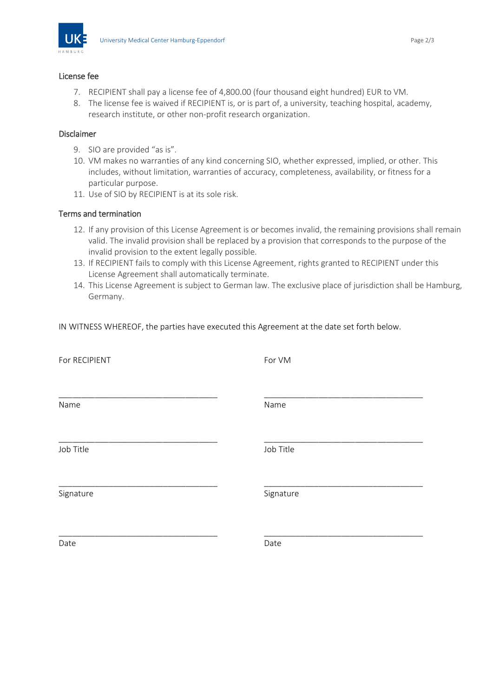

#### License fee

- 7. RECIPIENT shall pay a license fee of 4,800.00 (four thousand eight hundred) EUR to VM.
- 8. The license fee is waived if RECIPIENT is, or is part of, a university, teaching hospital, academy, research institute, or other non-profit research organization.

## Disclaimer

- 9. SIO are provided "as is".
- 10. VM makes no warranties of any kind concerning SIO, whether expressed, implied, or other. This includes, without limitation, warranties of accuracy, completeness, availability, or fitness for a particular purpose.
- 11. Use of SIO by RECIPIENT is at its sole risk.

## Terms and termination

- 12. If any provision of this License Agreement is or becomes invalid, the remaining provisions shall remain valid. The invalid provision shall be replaced by a provision that corresponds to the purpose of the invalid provision to the extent legally possible.
- 13. If RECIPIENT fails to comply with this License Agreement, rights granted to RECIPIENT under this License Agreement shall automatically terminate.
- 14. This License Agreement is subject to German law. The exclusive place of jurisdiction shall be Hamburg, Germany.

IN WITNESS WHEREOF, the parties have executed this Agreement at the date set forth below.

| For RECIPIENT | For VM    |
|---------------|-----------|
| Name          | Name      |
| Job Title     | Job Title |
| Signature     | Signature |
| Date          | Date      |